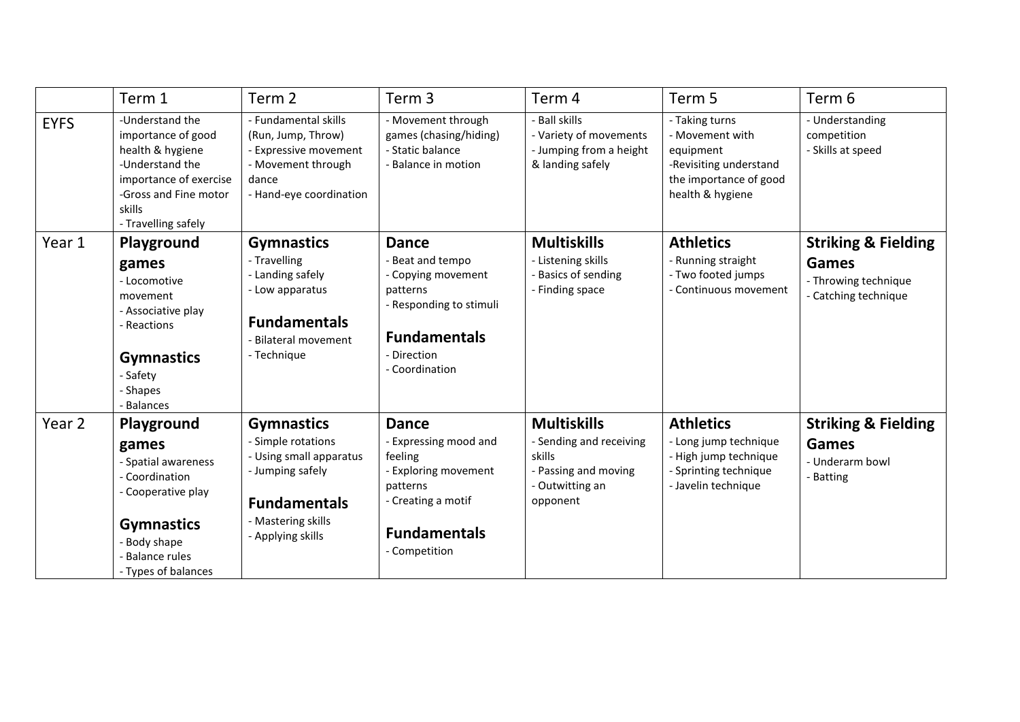|             | Term 1                                                                                                                                                               | Term 2                                                                                                                                                   | Term 3                                                                                                                                                | Term 4                                                                                                         | Term 5                                                                                                                 | Term 6                                                                                  |
|-------------|----------------------------------------------------------------------------------------------------------------------------------------------------------------------|----------------------------------------------------------------------------------------------------------------------------------------------------------|-------------------------------------------------------------------------------------------------------------------------------------------------------|----------------------------------------------------------------------------------------------------------------|------------------------------------------------------------------------------------------------------------------------|-----------------------------------------------------------------------------------------|
| <b>EYFS</b> | -Understand the<br>importance of good<br>health & hygiene<br>-Understand the<br>importance of exercise<br>-Gross and Fine motor<br>skills<br>- Travelling safely     | - Fundamental skills<br>(Run, Jump, Throw)<br>- Expressive movement<br>- Movement through<br>dance<br>- Hand-eye coordination                            | - Movement through<br>games (chasing/hiding)<br>- Static balance<br>- Balance in motion                                                               | - Ball skills<br>- Variety of movements<br>- Jumping from a height<br>& landing safely                         | - Taking turns<br>- Movement with<br>equipment<br>-Revisiting understand<br>the importance of good<br>health & hygiene | - Understanding<br>competition<br>- Skills at speed                                     |
| Year 1      | Playground<br>games<br>- Locomotive<br>movement<br>- Associative play<br>- Reactions<br><b>Gymnastics</b><br>- Safety<br>- Shapes<br><b>Balances</b>                 | <b>Gymnastics</b><br>- Travelling<br>- Landing safely<br>- Low apparatus<br><b>Fundamentals</b><br>- Bilateral movement<br>- Technique                   | <b>Dance</b><br>- Beat and tempo<br>- Copying movement<br>patterns<br>- Responding to stimuli<br><b>Fundamentals</b><br>- Direction<br>- Coordination | <b>Multiskills</b><br>- Listening skills<br>- Basics of sending<br>- Finding space                             | <b>Athletics</b><br>- Running straight<br>- Two footed jumps<br>- Continuous movement                                  | <b>Striking &amp; Fielding</b><br>Games<br>- Throwing technique<br>- Catching technique |
| Year 2      | Playground<br>games<br>- Spatial awareness<br>- Coordination<br>- Cooperative play<br><b>Gymnastics</b><br>Body shape<br><b>Balance rules</b><br>- Types of balances | <b>Gymnastics</b><br>- Simple rotations<br>- Using small apparatus<br>- Jumping safely<br><b>Fundamentals</b><br>- Mastering skills<br>- Applying skills | <b>Dance</b><br>- Expressing mood and<br>feeling<br>- Exploring movement<br>patterns<br>- Creating a motif<br><b>Fundamentals</b><br>- Competition    | <b>Multiskills</b><br>- Sending and receiving<br>skills<br>- Passing and moving<br>- Outwitting an<br>opponent | <b>Athletics</b><br>- Long jump technique<br>- High jump technique<br>- Sprinting technique<br>- Javelin technique     | <b>Striking &amp; Fielding</b><br>Games<br>- Underarm bowl<br>- Batting                 |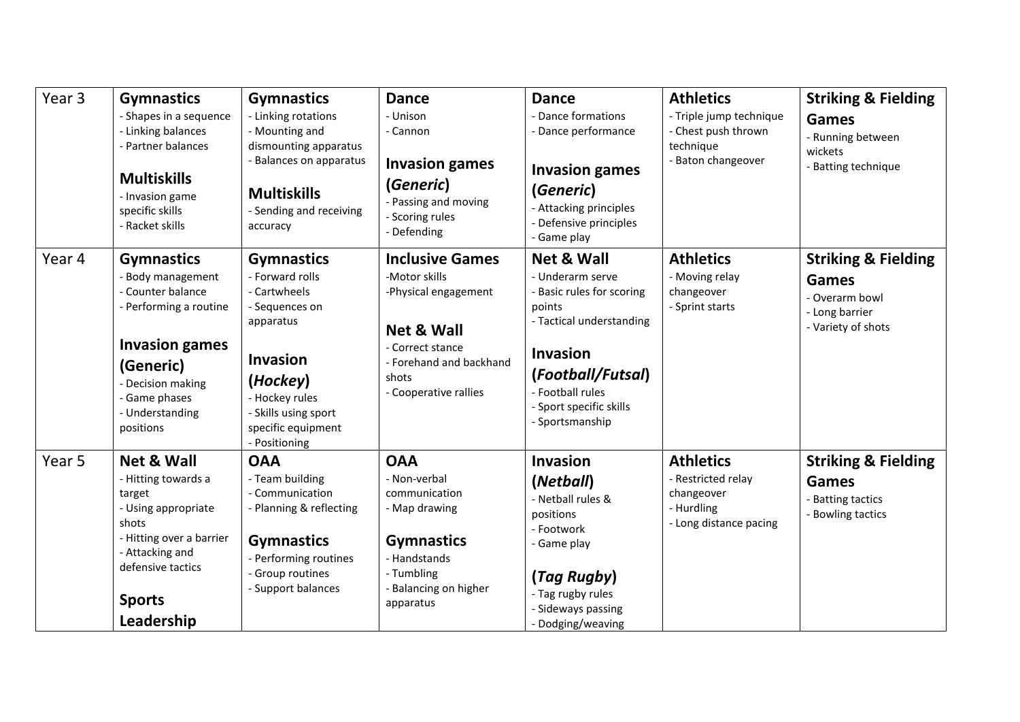| Year 3 | <b>Gymnastics</b><br>- Shapes in a sequence<br>- Linking balances<br>- Partner balances<br><b>Multiskills</b><br>- Invasion game<br>specific skills<br>- Racket skills                            | <b>Gymnastics</b><br>- Linking rotations<br>- Mounting and<br>dismounting apparatus<br>- Balances on apparatus<br><b>Multiskills</b><br>- Sending and receiving<br>accuracy                         | <b>Dance</b><br>- Unison<br>- Cannon<br><b>Invasion games</b><br>(Generic)<br>- Passing and moving<br>- Scoring rules<br>- Defending                                      | <b>Dance</b><br>- Dance formations<br>- Dance performance<br><b>Invasion games</b><br>(Generic)<br>- Attacking principles<br>- Defensive principles<br>- Game play                                                     | <b>Athletics</b><br>- Triple jump technique<br>- Chest push thrown<br>technique<br>- Baton changeover | <b>Striking &amp; Fielding</b><br><b>Games</b><br>- Running between<br>wickets<br>- Batting technique    |
|--------|---------------------------------------------------------------------------------------------------------------------------------------------------------------------------------------------------|-----------------------------------------------------------------------------------------------------------------------------------------------------------------------------------------------------|---------------------------------------------------------------------------------------------------------------------------------------------------------------------------|------------------------------------------------------------------------------------------------------------------------------------------------------------------------------------------------------------------------|-------------------------------------------------------------------------------------------------------|----------------------------------------------------------------------------------------------------------|
| Year 4 | <b>Gymnastics</b><br>- Body management<br>- Counter balance<br>- Performing a routine<br><b>Invasion games</b><br>(Generic)<br>- Decision making<br>- Game phases<br>- Understanding<br>positions | <b>Gymnastics</b><br>- Forward rolls<br>- Cartwheels<br>- Sequences on<br>apparatus<br><b>Invasion</b><br>(Hockey)<br>- Hockey rules<br>- Skills using sport<br>specific equipment<br>- Positioning | <b>Inclusive Games</b><br>-Motor skills<br>-Physical engagement<br><b>Net &amp; Wall</b><br>- Correct stance<br>- Forehand and backhand<br>shots<br>- Cooperative rallies | <b>Net &amp; Wall</b><br>- Underarm serve<br>- Basic rules for scoring<br>points<br>- Tactical understanding<br><b>Invasion</b><br>(Football/Futsal)<br>- Football rules<br>- Sport specific skills<br>- Sportsmanship | <b>Athletics</b><br>- Moving relay<br>changeover<br>- Sprint starts                                   | <b>Striking &amp; Fielding</b><br><b>Games</b><br>- Overarm bowl<br>- Long barrier<br>- Variety of shots |
| Year 5 | <b>Net &amp; Wall</b><br>- Hitting towards a<br>target<br>- Using appropriate<br>shots<br>- Hitting over a barrier<br>- Attacking and<br>defensive tactics<br><b>Sports</b><br>Leadership         | <b>OAA</b><br>- Team building<br>- Communication<br>- Planning & reflecting<br><b>Gymnastics</b><br>- Performing routines<br>- Group routines<br>- Support balances                                 | <b>OAA</b><br>- Non-verbal<br>communication<br>- Map drawing<br><b>Gymnastics</b><br>- Handstands<br>- Tumbling<br>- Balancing on higher<br>apparatus                     | <b>Invasion</b><br>(Netball)<br>- Netball rules &<br>positions<br>- Footwork<br>- Game play<br>(Tag Rugby)<br>- Tag rugby rules<br>- Sideways passing<br>- Dodging/weaving                                             | <b>Athletics</b><br>- Restricted relay<br>changeover<br>- Hurdling<br>- Long distance pacing          | <b>Striking &amp; Fielding</b><br><b>Games</b><br>- Batting tactics<br>- Bowling tactics                 |